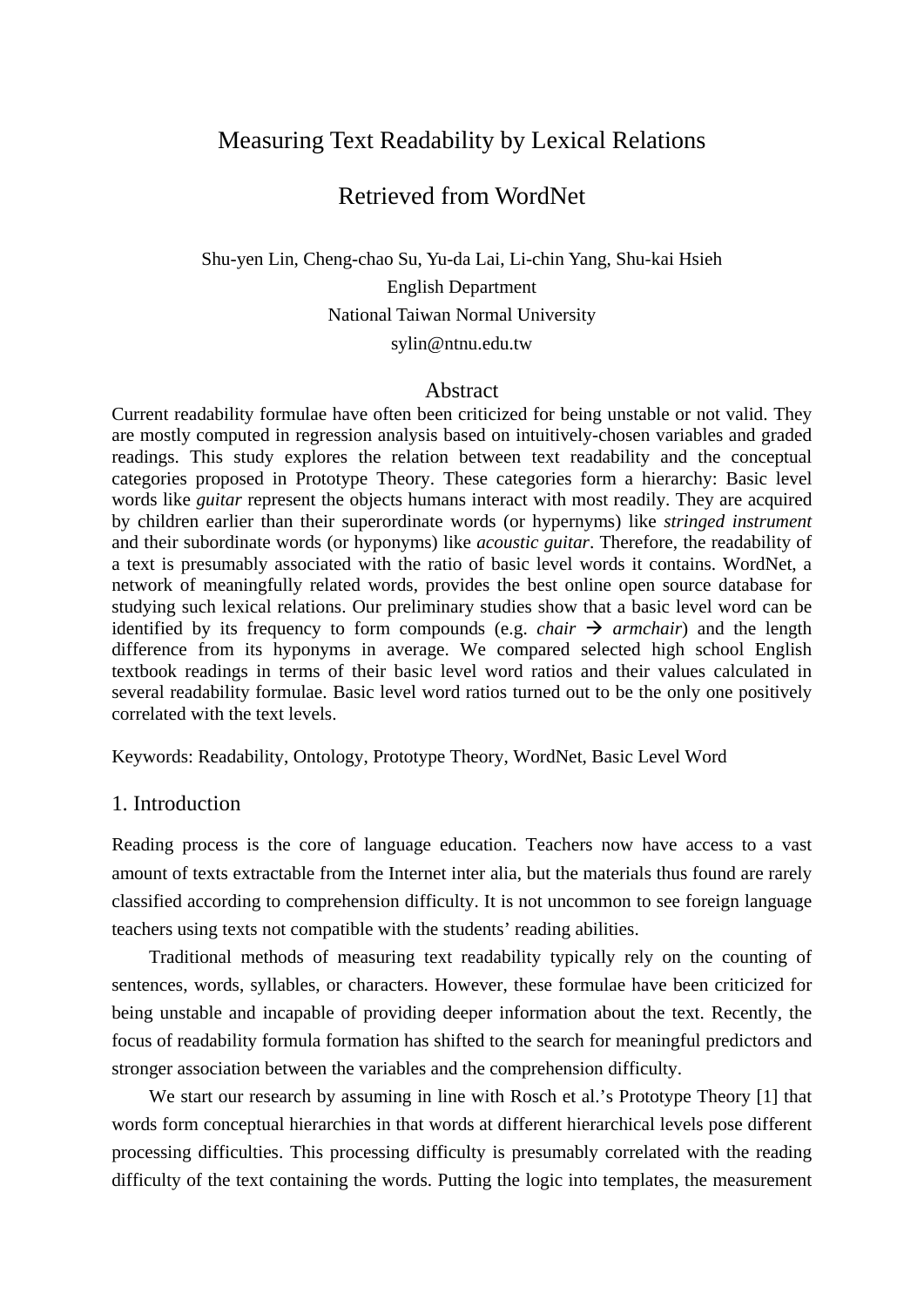# Measuring Text Readability by Lexical Relations

# Retrieved from WordNet

Shu-yen Lin, Cheng-chao Su, Yu-da Lai, Li-chin Yang, Shu-kai Hsieh English Department National Taiwan Normal University sylin@ntnu.edu.tw

#### Abstract

Current readability formulae have often been criticized for being unstable or not valid. They are mostly computed in regression analysis based on intuitively-chosen variables and graded readings. This study explores the relation between text readability and the conceptual categories proposed in Prototype Theory. These categories form a hierarchy: Basic level words like *guitar* represent the objects humans interact with most readily. They are acquired by children earlier than their superordinate words (or hypernyms) like *stringed instrument* and their subordinate words (or hyponyms) like *acoustic guitar*. Therefore, the readability of a text is presumably associated with the ratio of basic level words it contains. WordNet, a network of meaningfully related words, provides the best online open source database for studying such lexical relations. Our preliminary studies show that a basic level word can be identified by its frequency to form compounds (e.g. *chair*  $\rightarrow$  *armchair*) and the length difference from its hyponyms in average. We compared selected high school English textbook readings in terms of their basic level word ratios and their values calculated in several readability formulae. Basic level word ratios turned out to be the only one positively correlated with the text levels.

Keywords: Readability, Ontology, Prototype Theory, WordNet, Basic Level Word

## 1. Introduction

Reading process is the core of language education. Teachers now have access to a vast amount of texts extractable from the Internet inter alia, but the materials thus found are rarely classified according to comprehension difficulty. It is not uncommon to see foreign language teachers using texts not compatible with the students' reading abilities.

 Traditional methods of measuring text readability typically rely on the counting of sentences, words, syllables, or characters. However, these formulae have been criticized for being unstable and incapable of providing deeper information about the text. Recently, the focus of readability formula formation has shifted to the search for meaningful predictors and stronger association between the variables and the comprehension difficulty.

We start our research by assuming in line with Rosch et al.'s Prototype Theory [1] that words form conceptual hierarchies in that words at different hierarchical levels pose different processing difficulties. This processing difficulty is presumably correlated with the reading difficulty of the text containing the words. Putting the logic into templates, the measurement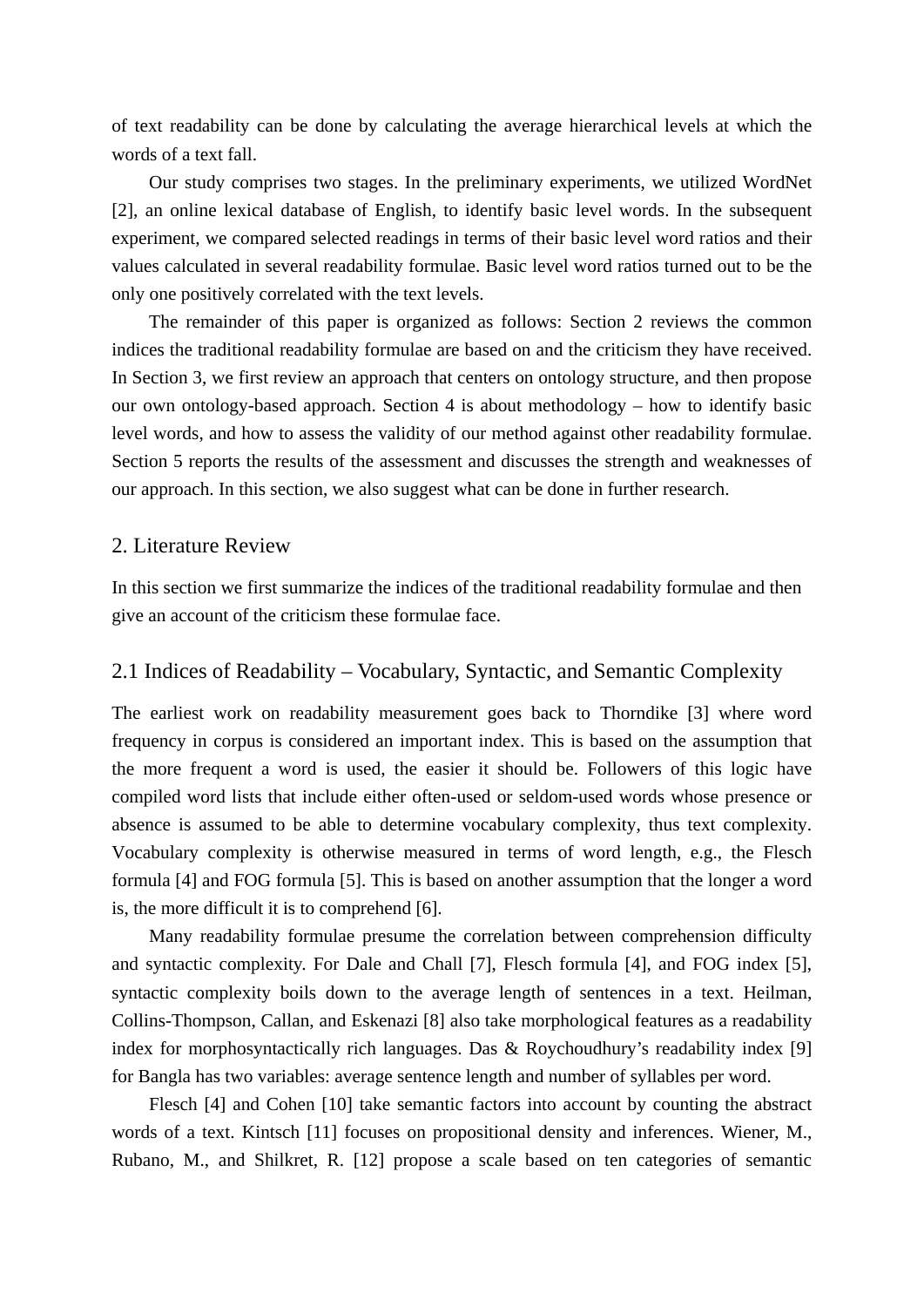of text readability can be done by calculating the average hierarchical levels at which the words of a text fall.

Our study comprises two stages. In the preliminary experiments, we utilized WordNet [2], an online lexical database of English, to identify basic level words. In the subsequent experiment, we compared selected readings in terms of their basic level word ratios and their values calculated in several readability formulae. Basic level word ratios turned out to be the only one positively correlated with the text levels.

The remainder of this paper is organized as follows: Section 2 reviews the common indices the traditional readability formulae are based on and the criticism they have received. In Section 3, we first review an approach that centers on ontology structure, and then propose our own ontology-based approach. Section 4 is about methodology – how to identify basic level words, and how to assess the validity of our method against other readability formulae. Section 5 reports the results of the assessment and discusses the strength and weaknesses of our approach. In this section, we also suggest what can be done in further research.

## 2. Literature Review

In this section we first summarize the indices of the traditional readability formulae and then give an account of the criticism these formulae face.

## 2.1 Indices of Readability – Vocabulary, Syntactic, and Semantic Complexity

The earliest work on readability measurement goes back to Thorndike [3] where word frequency in corpus is considered an important index. This is based on the assumption that the more frequent a word is used, the easier it should be. Followers of this logic have compiled word lists that include either often-used or seldom-used words whose presence or absence is assumed to be able to determine vocabulary complexity, thus text complexity. Vocabulary complexity is otherwise measured in terms of word length, e.g., the Flesch formula [4] and FOG formula [5]. This is based on another assumption that the longer a word is, the more difficult it is to comprehend [6].

 Many readability formulae presume the correlation between comprehension difficulty and syntactic complexity. For Dale and Chall [7], Flesch formula [4], and FOG index [5], syntactic complexity boils down to the average length of sentences in a text. Heilman, Collins-Thompson, Callan, and Eskenazi [8] also take morphological features as a readability index for morphosyntactically rich languages. Das & Roychoudhury's readability index [9] for Bangla has two variables: average sentence length and number of syllables per word.

 Flesch [4] and Cohen [10] take semantic factors into account by counting the abstract words of a text. Kintsch [11] focuses on propositional density and inferences. Wiener, M., Rubano, M., and Shilkret, R. [12] propose a scale based on ten categories of semantic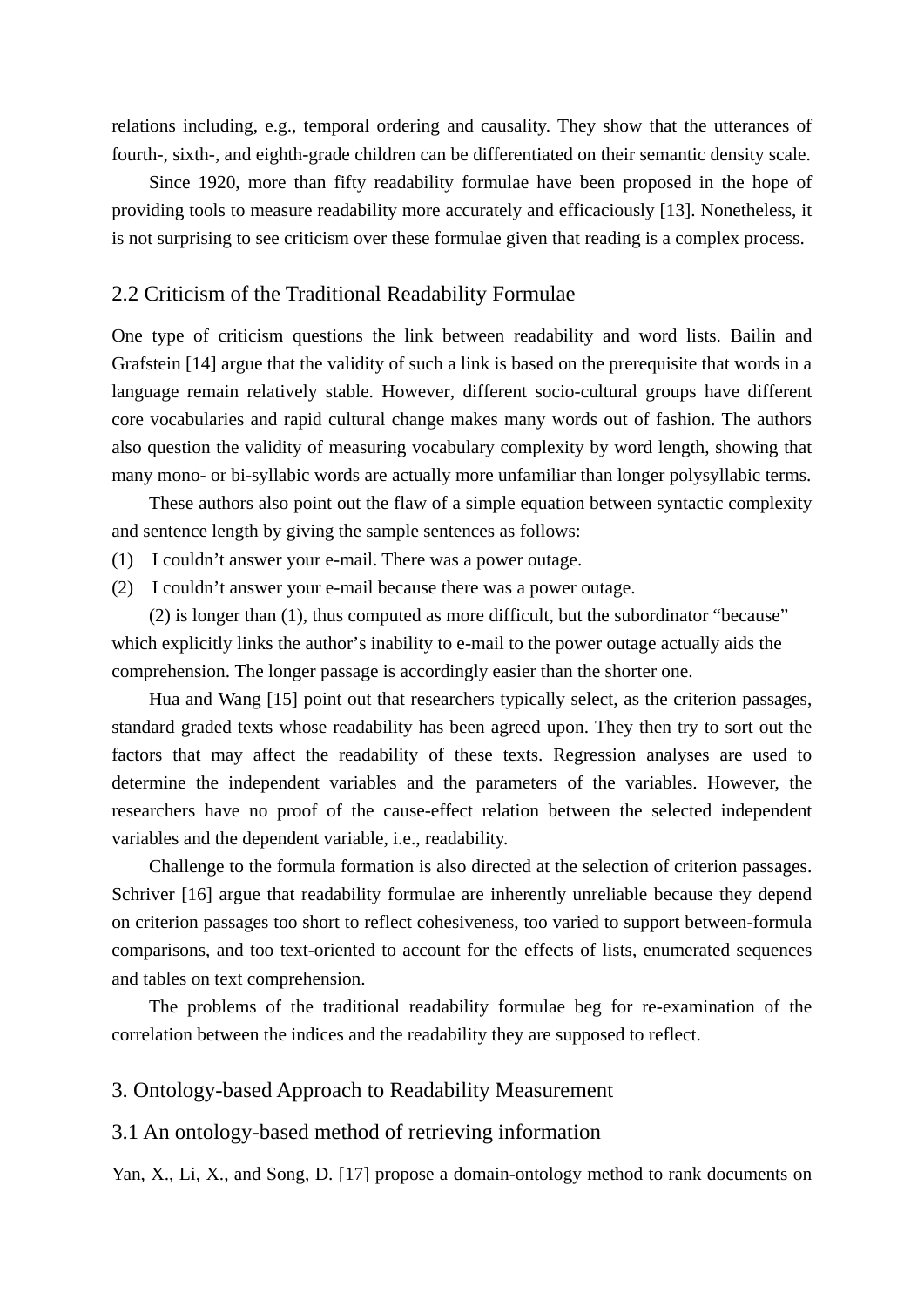relations including, e.g., temporal ordering and causality. They show that the utterances of fourth-, sixth-, and eighth-grade children can be differentiated on their semantic density scale.

 Since 1920, more than fifty readability formulae have been proposed in the hope of providing tools to measure readability more accurately and efficaciously [13]. Nonetheless, it is not surprising to see criticism over these formulae given that reading is a complex process.

## 2.2 Criticism of the Traditional Readability Formulae

One type of criticism questions the link between readability and word lists. Bailin and Grafstein [14] argue that the validity of such a link is based on the prerequisite that words in a language remain relatively stable. However, different socio-cultural groups have different core vocabularies and rapid cultural change makes many words out of fashion. The authors also question the validity of measuring vocabulary complexity by word length, showing that many mono- or bi-syllabic words are actually more unfamiliar than longer polysyllabic terms.

These authors also point out the flaw of a simple equation between syntactic complexity and sentence length by giving the sample sentences as follows:

- (1) I couldn't answer your e-mail. There was a power outage.
- (2) I couldn't answer your e-mail because there was a power outage.

 (2) is longer than (1), thus computed as more difficult, but the subordinator "because" which explicitly links the author's inability to e-mail to the power outage actually aids the comprehension. The longer passage is accordingly easier than the shorter one.

Hua and Wang [15] point out that researchers typically select, as the criterion passages, standard graded texts whose readability has been agreed upon. They then try to sort out the factors that may affect the readability of these texts. Regression analyses are used to determine the independent variables and the parameters of the variables. However, the researchers have no proof of the cause-effect relation between the selected independent variables and the dependent variable, i.e., readability.

Challenge to the formula formation is also directed at the selection of criterion passages. Schriver [16] argue that readability formulae are inherently unreliable because they depend on criterion passages too short to reflect cohesiveness, too varied to support between-formula comparisons, and too text-oriented to account for the effects of lists, enumerated sequences and tables on text comprehension.

The problems of the traditional readability formulae beg for re-examination of the correlation between the indices and the readability they are supposed to reflect.

## 3. Ontology-based Approach to Readability Measurement

## 3.1 An ontology-based method of retrieving information

Yan, X., Li, X., and Song, D. [17] propose a domain-ontology method to rank documents on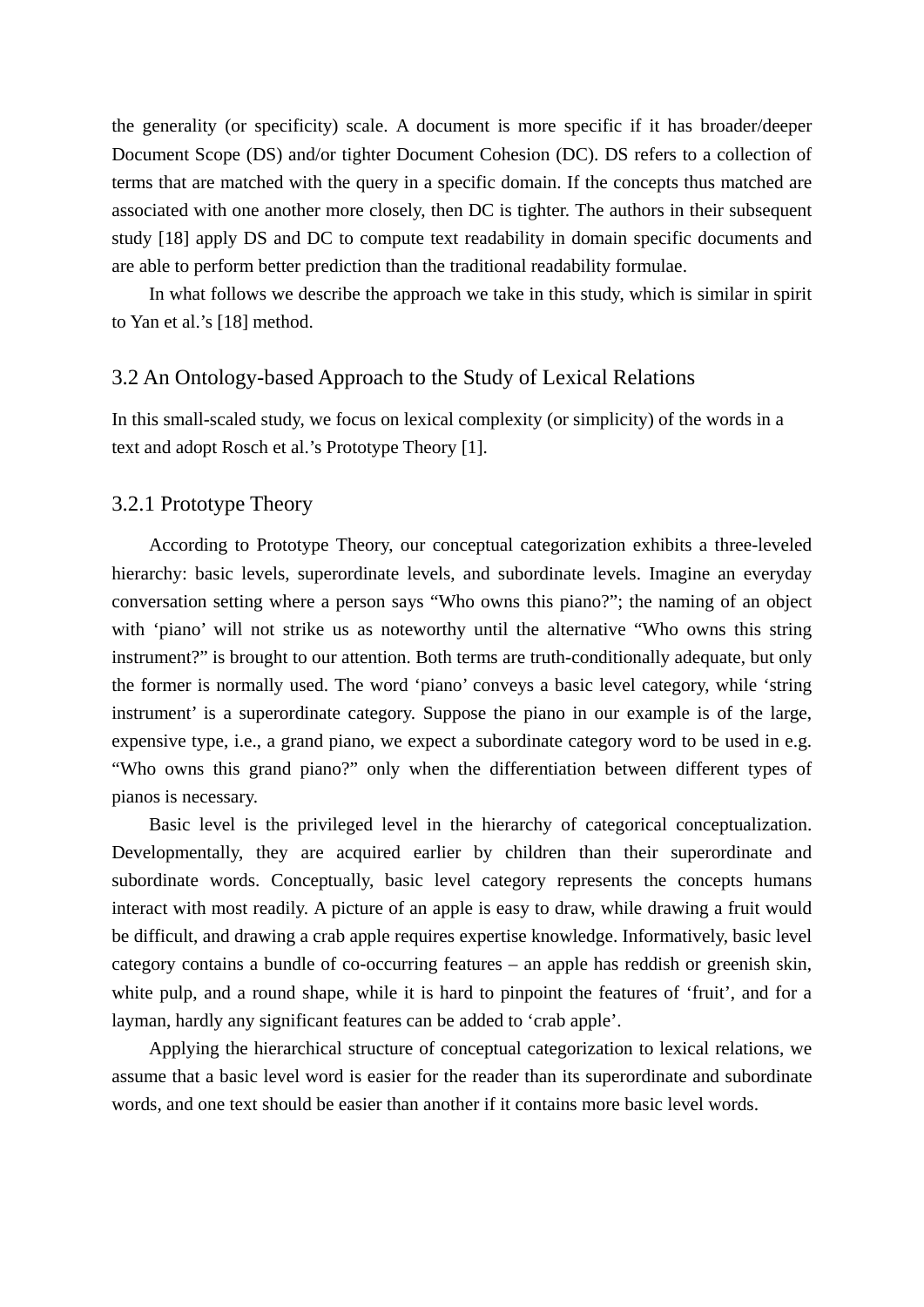the generality (or specificity) scale. A document is more specific if it has broader/deeper Document Scope (DS) and/or tighter Document Cohesion (DC). DS refers to a collection of terms that are matched with the query in a specific domain. If the concepts thus matched are associated with one another more closely, then DC is tighter. The authors in their subsequent study [18] apply DS and DC to compute text readability in domain specific documents and are able to perform better prediction than the traditional readability formulae.

 In what follows we describe the approach we take in this study, which is similar in spirit to Yan et al.'s [18] method.

## 3.2 An Ontology-based Approach to the Study of Lexical Relations

In this small-scaled study, we focus on lexical complexity (or simplicity) of the words in a text and adopt Rosch et al.'s Prototype Theory [1].

## 3.2.1 Prototype Theory

 According to Prototype Theory, our conceptual categorization exhibits a three-leveled hierarchy: basic levels, superordinate levels, and subordinate levels. Imagine an everyday conversation setting where a person says "Who owns this piano?"; the naming of an object with 'piano' will not strike us as noteworthy until the alternative "Who owns this string instrument?" is brought to our attention. Both terms are truth-conditionally adequate, but only the former is normally used. The word 'piano' conveys a basic level category, while 'string instrument' is a superordinate category. Suppose the piano in our example is of the large, expensive type, i.e., a grand piano, we expect a subordinate category word to be used in e.g. "Who owns this grand piano?" only when the differentiation between different types of pianos is necessary.

 Basic level is the privileged level in the hierarchy of categorical conceptualization. Developmentally, they are acquired earlier by children than their superordinate and subordinate words. Conceptually, basic level category represents the concepts humans interact with most readily. A picture of an apple is easy to draw, while drawing a fruit would be difficult, and drawing a crab apple requires expertise knowledge. Informatively, basic level category contains a bundle of co-occurring features – an apple has reddish or greenish skin, white pulp, and a round shape, while it is hard to pinpoint the features of 'fruit', and for a layman, hardly any significant features can be added to 'crab apple'.

 Applying the hierarchical structure of conceptual categorization to lexical relations, we assume that a basic level word is easier for the reader than its superordinate and subordinate words, and one text should be easier than another if it contains more basic level words.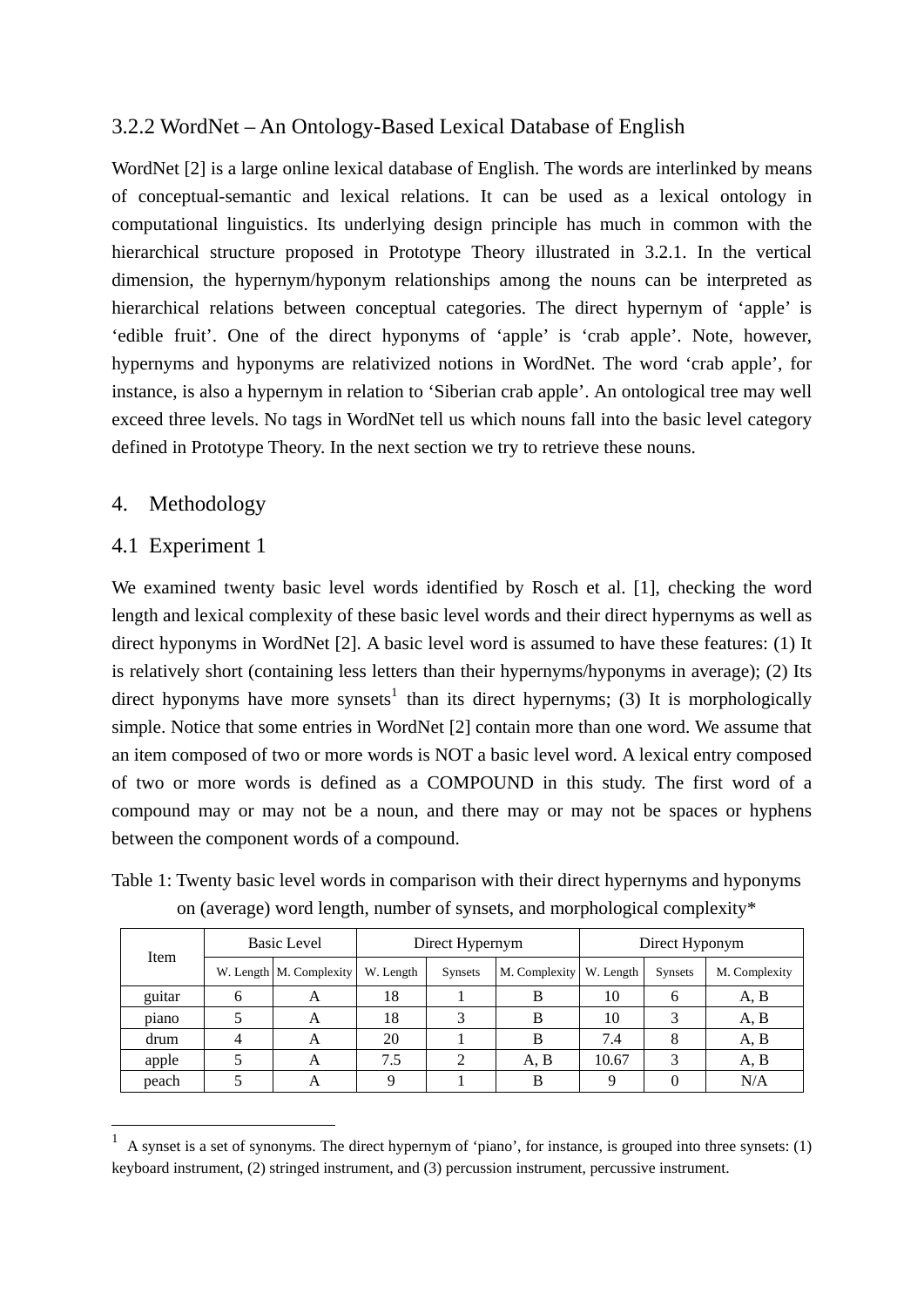## 3.2.2 WordNet – An Ontology-Based Lexical Database of English

WordNet [2] is a large online lexical database of English. The words are interlinked by means of conceptual-semantic and lexical relations. It can be used as a lexical ontology in computational linguistics. Its underlying design principle has much in common with the hierarchical structure proposed in Prototype Theory illustrated in 3.2.1. In the vertical dimension, the hypernym/hyponym relationships among the nouns can be interpreted as hierarchical relations between conceptual categories. The direct hypernym of 'apple' is 'edible fruit'. One of the direct hyponyms of 'apple' is 'crab apple'. Note, however, hypernyms and hyponyms are relativized notions in WordNet. The word 'crab apple', for instance, is also a hypernym in relation to 'Siberian crab apple'. An ontological tree may well exceed three levels. No tags in WordNet tell us which nouns fall into the basic level category defined in Prototype Theory. In the next section we try to retrieve these nouns.

## 4. Methodology

## 4.1 Experiment 1

<u>.</u>

We examined twenty basic level words identified by Rosch et al. [1], checking the word length and lexical complexity of these basic level words and their direct hypernyms as well as direct hyponyms in WordNet [2]. A basic level word is assumed to have these features: (1) It is relatively short (containing less letters than their hypernyms/hyponyms in average); (2) Its direct hyponyms have more synsets<sup>1</sup> than its direct hypernyms; (3) It is morphologically simple. Notice that some entries in WordNet [2] contain more than one word. We assume that an item composed of two or more words is NOT a basic level word. A lexical entry composed of two or more words is defined as a COMPOUND in this study. The first word of a compound may or may not be a noun, and there may or may not be spaces or hyphens between the component words of a compound.

|        | on (average) word length, humoer or synsets, and morphological complexity |                         |                 |                |                           |                |                   |               |  |  |
|--------|---------------------------------------------------------------------------|-------------------------|-----------------|----------------|---------------------------|----------------|-------------------|---------------|--|--|
|        | <b>Basic Level</b>                                                        |                         | Direct Hypernym |                |                           | Direct Hyponym |                   |               |  |  |
| Item   |                                                                           | W. Length M. Complexity | W. Length       | <b>Synsets</b> | M. Complexity   W. Length |                | Synsets           | M. Complexity |  |  |
| guitar |                                                                           | А                       | 18              |                |                           | 10             |                   | A, B          |  |  |
| piano  |                                                                           | A                       | 18              |                |                           | 10             |                   | A, B          |  |  |
| drum   |                                                                           | A                       | 20              |                |                           | 7.4            |                   | A, B          |  |  |
| apple  |                                                                           |                         | 7.5             |                | A.B                       | 10.67          | $\mathbf{\Omega}$ | A, B          |  |  |

Table 1: Twenty basic level words in comparison with their direct hypernyms and hyponyms on (average) word length, number of synsets, and morphological complexity\*

peach | 5 | A | 9 | 1 | B | 9 | 0 | N/A

<sup>1</sup> A synset is a set of synonyms. The direct hypernym of 'piano', for instance, is grouped into three synsets: (1) keyboard instrument, (2) stringed instrument, and (3) percussion instrument, percussive instrument.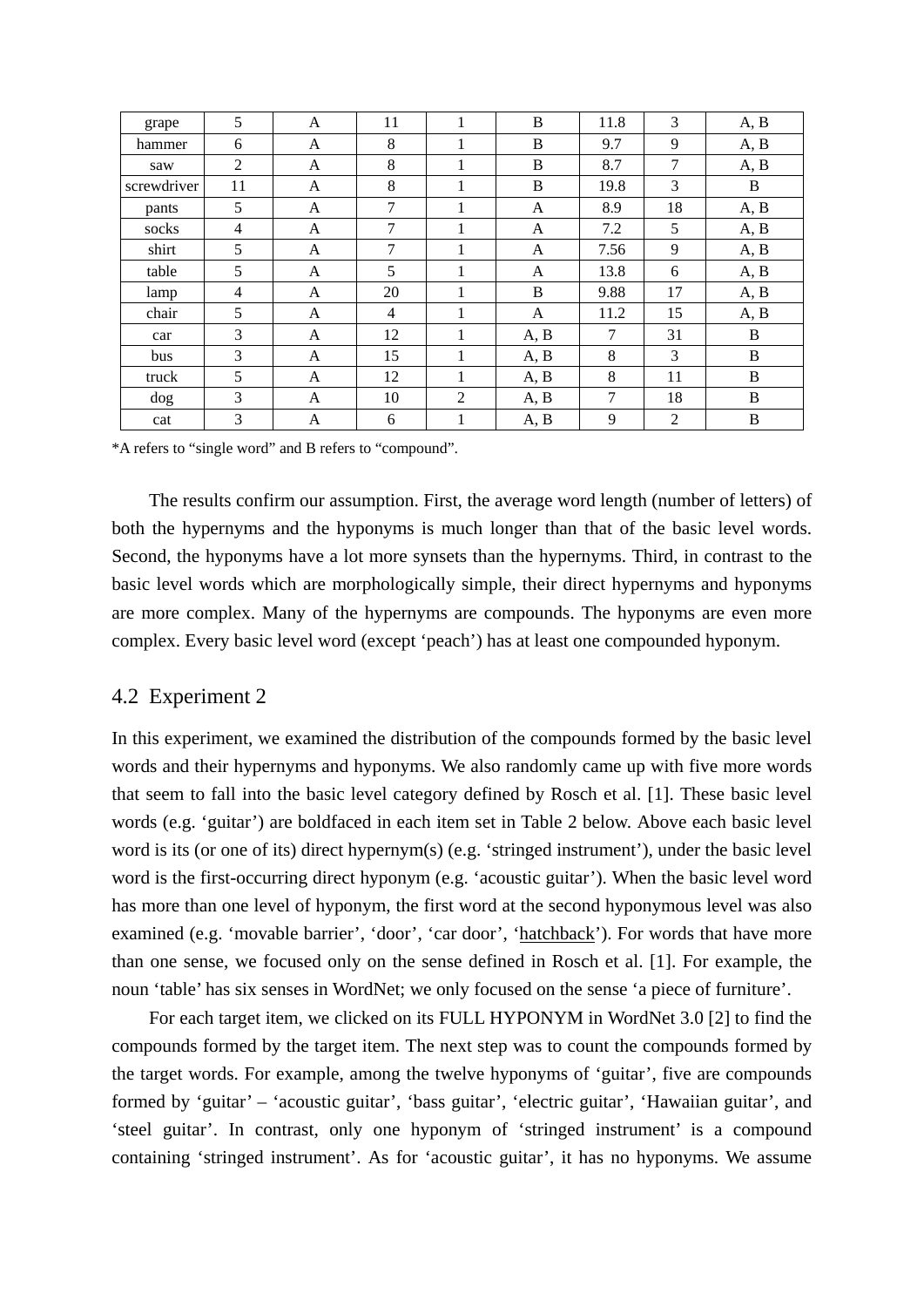| grape       | 5              | A            | 11             | - | B    | 11.8   | 3  | A, B |
|-------------|----------------|--------------|----------------|---|------|--------|----|------|
| hammer      | 6              | A            | 8              | 1 | B    | 9.7    | 9  | A, B |
| saw         | 2              | A            | 8              | 1 | B    | 8.7    | 7  | A, B |
| screwdriver | 11             | A            | 8              | 1 | B    | 19.8   | 3  | B    |
| pants       | 5              | A            | $\tau$         | 1 | A    | 8.9    | 18 | A, B |
| socks       | $\overline{4}$ | A            | 7              | 1 | A    | 7.2    | 5  | A, B |
| shirt       | 5              | $\mathsf{A}$ | $\tau$         | 1 | A    | 7.56   | 9  | A, B |
| table       | 5              | A            | 5              | 1 | A    | 13.8   | 6  | A, B |
| lamp        | 4              | A            | 20             | 1 | B    | 9.88   | 17 | A, B |
| chair       | 5              | A            | $\overline{4}$ | 1 | A    | 11.2   | 15 | A, B |
| car         | 3              | A            | 12             | 1 | A, B | $\tau$ | 31 | B    |
| bus         | 3              | A            | 15             | 1 | A, B | 8      | 3  | B    |
| truck       | 5              | $\mathsf{A}$ | 12             |   | A, B | 8      | 11 | B    |
| dog         | 3              | A            | 10             | 2 | A, B | 7      | 18 | B    |
| cat         | 3              | A            | 6              | 1 | A, B | 9      | 2  | B    |

\*A refers to "single word" and B refers to "compound".

The results confirm our assumption. First, the average word length (number of letters) of both the hypernyms and the hyponyms is much longer than that of the basic level words. Second, the hyponyms have a lot more synsets than the hypernyms. Third, in contrast to the basic level words which are morphologically simple, their direct hypernyms and hyponyms are more complex. Many of the hypernyms are compounds. The hyponyms are even more complex. Every basic level word (except 'peach') has at least one compounded hyponym.

## 4.2 Experiment 2

In this experiment, we examined the distribution of the compounds formed by the basic level words and their hypernyms and hyponyms. We also randomly came up with five more words that seem to fall into the basic level category defined by Rosch et al. [1]. These basic level words (e.g. 'guitar') are boldfaced in each item set in Table 2 below. Above each basic level word is its (or one of its) direct hypernym(s) (e.g. 'stringed instrument'), under the basic level word is the first-occurring direct hyponym (e.g. 'acoustic guitar'). When the basic level word has more than one level of hyponym, the first word at the second hyponymous level was also examined (e.g. 'movable barrier', 'door', 'car door', 'hatchback'). For words that have more than one sense, we focused only on the sense defined in Rosch et al. [1]. For example, the noun 'table' has six senses in WordNet; we only focused on the sense 'a piece of furniture'.

 For each target item, we clicked on its FULL HYPONYM in WordNet 3.0 [2] to find the compounds formed by the target item. The next step was to count the compounds formed by the target words. For example, among the twelve hyponyms of 'guitar', five are compounds formed by 'guitar' – 'acoustic guitar', 'bass guitar', 'electric guitar', 'Hawaiian guitar', and 'steel guitar'. In contrast, only one hyponym of 'stringed instrument' is a compound containing 'stringed instrument'. As for 'acoustic guitar', it has no hyponyms. We assume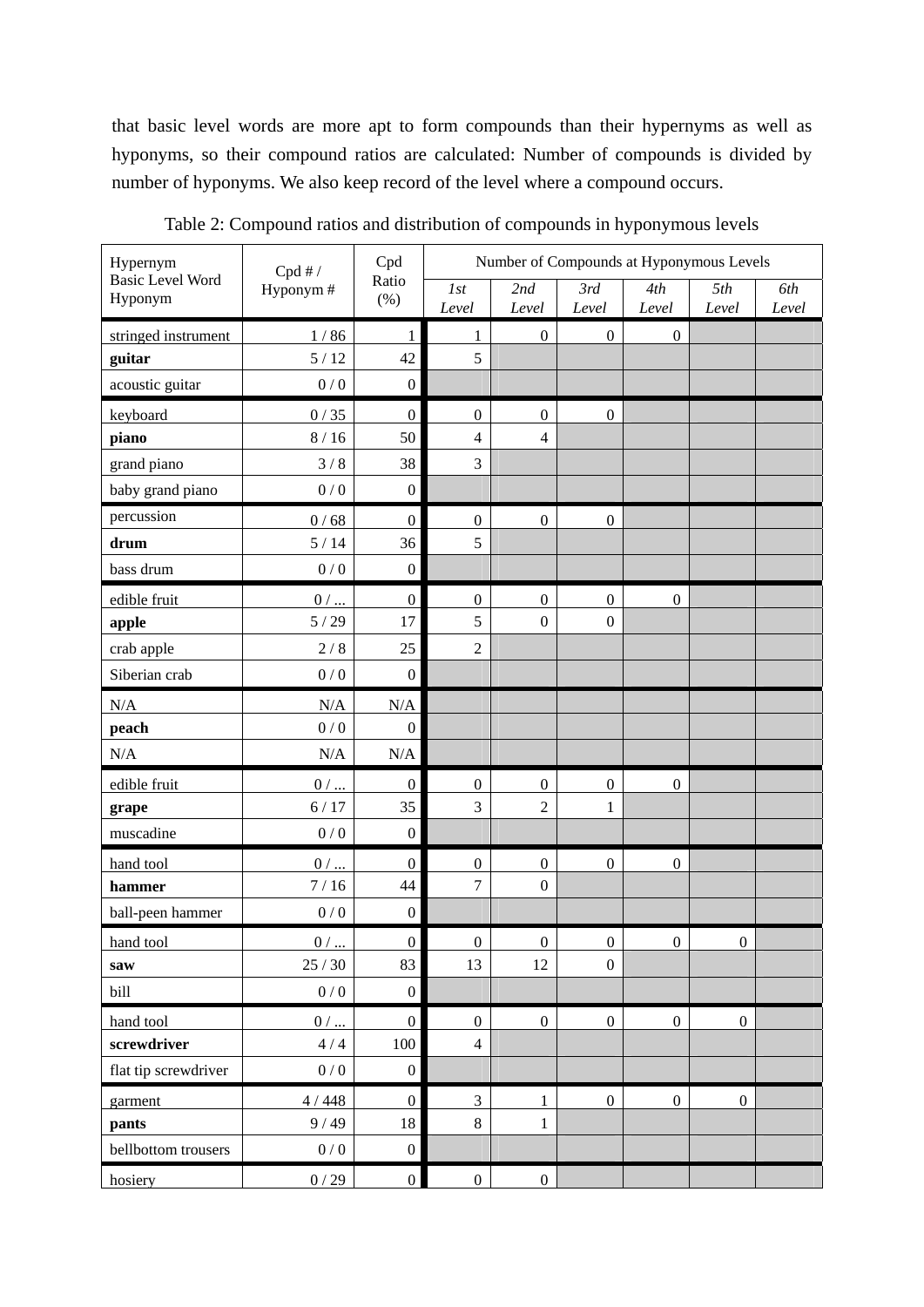that basic level words are more apt to form compounds than their hypernyms as well as hyponyms, so their compound ratios are calculated: Number of compounds is divided by number of hyponyms. We also keep record of the level where a compound occurs.

| Hypernym                           | Cpd#/                 | Cpd              | Number of Compounds at Hyponymous Levels |                  |                  |                  |                  |              |  |
|------------------------------------|-----------------------|------------------|------------------------------------------|------------------|------------------|------------------|------------------|--------------|--|
| <b>Basic Level Word</b><br>Hyponym | Hyponym#              | Ratio<br>(%)     | 1st<br>Level                             | 2nd<br>Level     | 3rd<br>Level     | 4th<br>Level     | 5th<br>Level     | 6th<br>Level |  |
| stringed instrument                | 1/86                  | 1                | 1                                        | $\boldsymbol{0}$ | $\boldsymbol{0}$ | $\boldsymbol{0}$ |                  |              |  |
| guitar                             | 5/12                  | 42               | 5                                        |                  |                  |                  |                  |              |  |
| acoustic guitar                    | 0/0                   | $\boldsymbol{0}$ |                                          |                  |                  |                  |                  |              |  |
| keyboard                           | 0/35                  | $\boldsymbol{0}$ | $\boldsymbol{0}$                         | $\boldsymbol{0}$ | $\boldsymbol{0}$ |                  |                  |              |  |
| piano                              | 8/16                  | 50               | $\overline{4}$                           | $\overline{4}$   |                  |                  |                  |              |  |
| grand piano                        | 3/8                   | 38               | 3                                        |                  |                  |                  |                  |              |  |
| baby grand piano                   | 0/0                   | $\boldsymbol{0}$ |                                          |                  |                  |                  |                  |              |  |
| percussion                         | 0/68                  | $\boldsymbol{0}$ | $\boldsymbol{0}$                         | $\boldsymbol{0}$ | $\boldsymbol{0}$ |                  |                  |              |  |
| drum                               | 5/14                  | 36               | 5                                        |                  |                  |                  |                  |              |  |
| bass drum                          | 0/0                   | $\boldsymbol{0}$ |                                          |                  |                  |                  |                  |              |  |
| edible fruit                       | $0/\underline{\dots}$ | $\boldsymbol{0}$ | $\boldsymbol{0}$                         | $\boldsymbol{0}$ | $\boldsymbol{0}$ | $\boldsymbol{0}$ |                  |              |  |
| apple                              | 5/29                  | 17               | 5                                        | $\boldsymbol{0}$ | $\boldsymbol{0}$ |                  |                  |              |  |
| crab apple                         | 2/8                   | 25               | $\overline{c}$                           |                  |                  |                  |                  |              |  |
| Siberian crab                      | 0/0                   | $\boldsymbol{0}$ |                                          |                  |                  |                  |                  |              |  |
| N/A                                | N/A                   | $\rm N/A$        |                                          |                  |                  |                  |                  |              |  |
| peach                              | $0\,/\,0$             | $\boldsymbol{0}$ |                                          |                  |                  |                  |                  |              |  |
| N/A                                | N/A                   | $\rm N/A$        |                                          |                  |                  |                  |                  |              |  |
| edible fruit                       | $0/$                  | $\boldsymbol{0}$ | $\boldsymbol{0}$                         | $\boldsymbol{0}$ | $\boldsymbol{0}$ | $\boldsymbol{0}$ |                  |              |  |
| grape                              | 6/17                  | 35               | 3                                        | $\overline{2}$   | $\mathbf{1}$     |                  |                  |              |  |
| muscadine                          | 0/0                   | $\boldsymbol{0}$ |                                          |                  |                  |                  |                  |              |  |
| hand tool                          | $0/$                  | $\boldsymbol{0}$ | $\boldsymbol{0}$                         | $\boldsymbol{0}$ | $\boldsymbol{0}$ | $\boldsymbol{0}$ |                  |              |  |
| hammer                             | 7/16                  | 44               | 7                                        | $\boldsymbol{0}$ |                  |                  |                  |              |  |
| ball-peen hammer                   | $0\,/\,0$             | $\boldsymbol{0}$ |                                          |                  |                  |                  |                  |              |  |
| hand tool                          | $0/$                  | $\overline{0}$   | $\overline{0}$                           | $\overline{0}$   | $\overline{0}$   | $\overline{0}$   | $\overline{0}$   |              |  |
| saw                                | 25/30                 | 83               | 13                                       | 12               | $\boldsymbol{0}$ |                  |                  |              |  |
| bill                               | 0/0                   | $\boldsymbol{0}$ |                                          |                  |                  |                  |                  |              |  |
| hand tool                          | $0/$                  | $\overline{0}$   | $\boldsymbol{0}$                         | $\mathbf{0}$     | $\boldsymbol{0}$ | $\boldsymbol{0}$ | $\boldsymbol{0}$ |              |  |
| screwdriver                        | $4\,/\,4$             | 100              | $\overline{4}$                           |                  |                  |                  |                  |              |  |
| flat tip screwdriver               | $0\,/\,0$             | $\boldsymbol{0}$ |                                          |                  |                  |                  |                  |              |  |
| garment                            | $4/448$               | $\boldsymbol{0}$ | 3                                        | $\mathbf{1}$     | $\boldsymbol{0}$ | $\boldsymbol{0}$ | $\boldsymbol{0}$ |              |  |
| pants                              | 9/49                  | 18               | $8\,$                                    | $\mathbf{1}$     |                  |                  |                  |              |  |
| bellbottom trousers                | 0/0                   | $\boldsymbol{0}$ |                                          |                  |                  |                  |                  |              |  |
| hosiery                            | 0/29                  | $\boldsymbol{0}$ | $\boldsymbol{0}$                         | $\boldsymbol{0}$ |                  |                  |                  |              |  |

Table 2: Compound ratios and distribution of compounds in hyponymous levels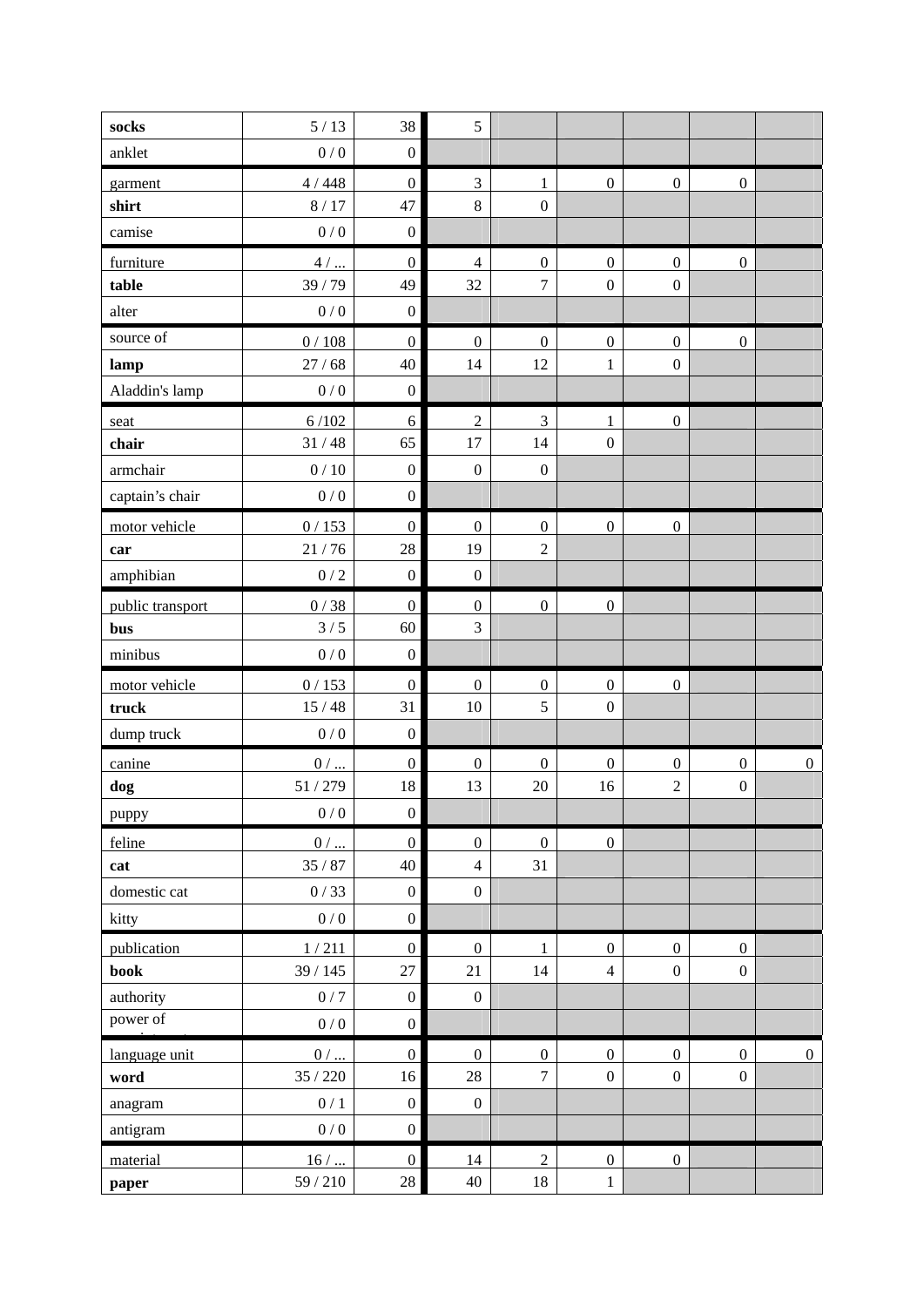| socks            | 5/13            | 38               | 5                |                  |                  |                  |                  |                |
|------------------|-----------------|------------------|------------------|------------------|------------------|------------------|------------------|----------------|
| anklet           | 0/0             | $\boldsymbol{0}$ |                  |                  |                  |                  |                  |                |
| garment          | 4/448           | $\boldsymbol{0}$ | $\overline{3}$   | $\mathbf{1}$     | $\boldsymbol{0}$ | $\boldsymbol{0}$ | $\boldsymbol{0}$ |                |
| shirt            | 8/17            | 47               | $\,8\,$          | $\boldsymbol{0}$ |                  |                  |                  |                |
| camise           | 0/0             | $\boldsymbol{0}$ |                  |                  |                  |                  |                  |                |
| furniture        | $4/$ $\dots$    | $\boldsymbol{0}$ | $\overline{4}$   | $\boldsymbol{0}$ | $\boldsymbol{0}$ | $\boldsymbol{0}$ | $\boldsymbol{0}$ |                |
| table            | 39/79           | 49               | 32               | $\overline{7}$   | $\boldsymbol{0}$ | $\boldsymbol{0}$ |                  |                |
| alter            | $0/0$           | $\boldsymbol{0}$ |                  |                  |                  |                  |                  |                |
| source of        | $0\,/\,108$     | $\boldsymbol{0}$ | $\boldsymbol{0}$ | $\boldsymbol{0}$ | $\boldsymbol{0}$ | $\boldsymbol{0}$ | $\boldsymbol{0}$ |                |
| lamp             | 27/68           | 40               | 14               | 12               | 1                | $\boldsymbol{0}$ |                  |                |
| Aladdin's lamp   | $0/0$           | $\boldsymbol{0}$ |                  |                  |                  |                  |                  |                |
| seat             | 6/102           | 6                | $\sqrt{2}$       | 3                | 1                | $\boldsymbol{0}$ |                  |                |
| chair            | 31/48           | 65               | 17               | 14               | $\boldsymbol{0}$ |                  |                  |                |
| armchair         | $0/10$          | $\boldsymbol{0}$ | $\boldsymbol{0}$ | $\boldsymbol{0}$ |                  |                  |                  |                |
| captain's chair  | 0/0             | $\boldsymbol{0}$ |                  |                  |                  |                  |                  |                |
| motor vehicle    | 0/153           | $\boldsymbol{0}$ | $\boldsymbol{0}$ | $\boldsymbol{0}$ | $\boldsymbol{0}$ | $\boldsymbol{0}$ |                  |                |
| car              | 21/76           | 28               | 19               | $\sqrt{2}$       |                  |                  |                  |                |
| amphibian        | $0\mathbin{/}2$ | $\boldsymbol{0}$ | $\boldsymbol{0}$ |                  |                  |                  |                  |                |
| public transport | $0/38$          | $\boldsymbol{0}$ | $\boldsymbol{0}$ | $\boldsymbol{0}$ | $\boldsymbol{0}$ |                  |                  |                |
| bus              | 3/5             | 60               | $\overline{3}$   |                  |                  |                  |                  |                |
| minibus          | 0/0             | $\boldsymbol{0}$ |                  |                  |                  |                  |                  |                |
| motor vehicle    | 0/153           | $\boldsymbol{0}$ | $\boldsymbol{0}$ | $\boldsymbol{0}$ | $\boldsymbol{0}$ | $\boldsymbol{0}$ |                  |                |
| truck            | 15/48           | 31               | 10               | 5                | $\boldsymbol{0}$ |                  |                  |                |
| dump truck       | $0\,/\,0$       | $\boldsymbol{0}$ |                  |                  |                  |                  |                  |                |
| canine           | $0/ \dots$      | $\boldsymbol{0}$ | $\boldsymbol{0}$ | $\boldsymbol{0}$ | $\boldsymbol{0}$ | $\boldsymbol{0}$ | $\boldsymbol{0}$ | $\overline{0}$ |
| dog              | 51/279          | 18               | 13               | 20               | 16               | $\overline{2}$   | $\boldsymbol{0}$ |                |
| puppy            | 0/0             | $\mathbf{0}$     |                  |                  |                  |                  |                  |                |
| feline           | $0/ \dots$      | $\boldsymbol{0}$ | $\boldsymbol{0}$ | $\boldsymbol{0}$ | $\boldsymbol{0}$ |                  |                  |                |
| cat              | 35/87           | 40               | $\overline{4}$   | 31               |                  |                  |                  |                |
| domestic cat     | 0/33            | $\boldsymbol{0}$ | $\boldsymbol{0}$ |                  |                  |                  |                  |                |
| kitty            | 0/0             | $\boldsymbol{0}$ |                  |                  |                  |                  |                  |                |
| publication      | $1\,/\,211$     | $\boldsymbol{0}$ | $\boldsymbol{0}$ | $\mathbf{1}$     | $\boldsymbol{0}$ | $\boldsymbol{0}$ | $\boldsymbol{0}$ |                |
| <b>book</b>      | 39/145          | 27               | 21               | 14               | $\overline{4}$   | $\boldsymbol{0}$ | $\boldsymbol{0}$ |                |
| authority        | 0/7             | $\boldsymbol{0}$ | $\boldsymbol{0}$ |                  |                  |                  |                  |                |
| power of         | 0/0             | $\boldsymbol{0}$ |                  |                  |                  |                  |                  |                |
| language unit    | $0/ \dots$      | $\overline{0}$   | $\overline{0}$   | $\overline{0}$   | $\boldsymbol{0}$ | $\mathbf{0}$     | $\mathbf{0}$     | $\overline{0}$ |
| word             | 35/220          | 16               | $28\,$           | $\overline{7}$   | $\boldsymbol{0}$ | $\boldsymbol{0}$ | $\boldsymbol{0}$ |                |
| anagram          | 0/1             | $\boldsymbol{0}$ | $\boldsymbol{0}$ |                  |                  |                  |                  |                |
| antigram         | 0/0             | $\boldsymbol{0}$ |                  |                  |                  |                  |                  |                |
| material         | $16/ \dots$     | $\boldsymbol{0}$ | 14               | $\overline{2}$   | $\boldsymbol{0}$ | $\boldsymbol{0}$ |                  |                |
| paper            | 59 / 210        | $28\,$           | 40               | 18               | $\mathbf{1}$     |                  |                  |                |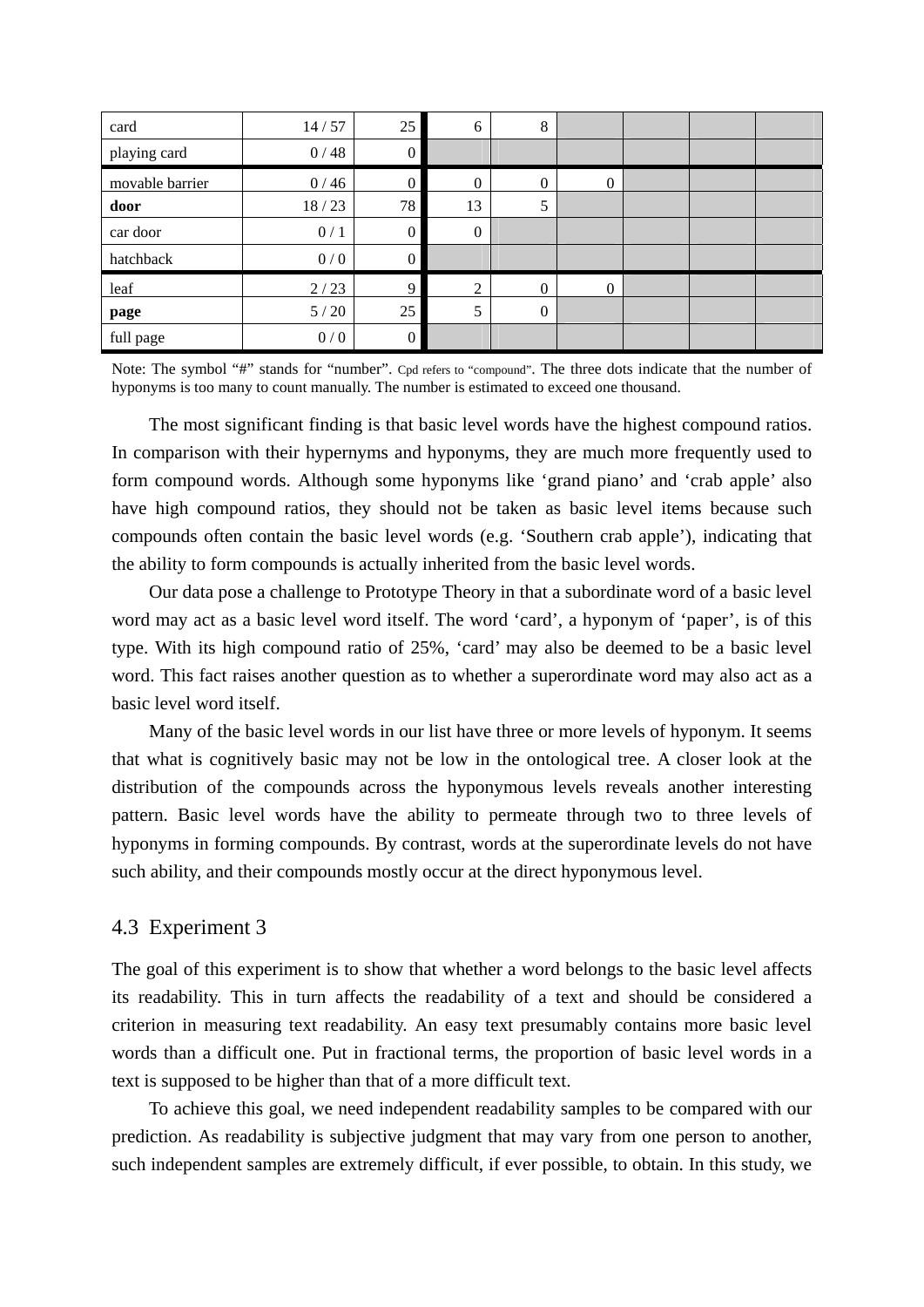| card            | 14/57  | 25               | 6                | $\,8\,$          |          |  |  |
|-----------------|--------|------------------|------------------|------------------|----------|--|--|
| playing card    | 0/48   | $\boldsymbol{0}$ |                  |                  |          |  |  |
| movable barrier | 0/46   | $\mathbf{0}$     | $\Omega$         | $\mathbf{0}$     | $\Omega$ |  |  |
| door            | 18/23  | 78               | 13               | 5                |          |  |  |
| car door        | 0/1    | $\mathbf{0}$     | $\boldsymbol{0}$ |                  |          |  |  |
| hatchback       | 0/0    | $\boldsymbol{0}$ |                  |                  |          |  |  |
| leaf            | 2/23   | 9                | $\bigcirc$       | $\theta$         | $\Omega$ |  |  |
| page            | $5/20$ | 25               | 5                | $\boldsymbol{0}$ |          |  |  |
| full page       | 0/0    | $\boldsymbol{0}$ |                  |                  |          |  |  |

Note: The symbol "#" stands for "number". Cpd refers to "compound". The three dots indicate that the number of hyponyms is too many to count manually. The number is estimated to exceed one thousand.

The most significant finding is that basic level words have the highest compound ratios. In comparison with their hypernyms and hyponyms, they are much more frequently used to form compound words. Although some hyponyms like 'grand piano' and 'crab apple' also have high compound ratios, they should not be taken as basic level items because such compounds often contain the basic level words (e.g. 'Southern crab apple'), indicating that the ability to form compounds is actually inherited from the basic level words.

 Our data pose a challenge to Prototype Theory in that a subordinate word of a basic level word may act as a basic level word itself. The word 'card', a hyponym of 'paper', is of this type. With its high compound ratio of 25%, 'card' may also be deemed to be a basic level word. This fact raises another question as to whether a superordinate word may also act as a basic level word itself.

 Many of the basic level words in our list have three or more levels of hyponym. It seems that what is cognitively basic may not be low in the ontological tree. A closer look at the distribution of the compounds across the hyponymous levels reveals another interesting pattern. Basic level words have the ability to permeate through two to three levels of hyponyms in forming compounds. By contrast, words at the superordinate levels do not have such ability, and their compounds mostly occur at the direct hyponymous level.

#### 4.3 Experiment 3

The goal of this experiment is to show that whether a word belongs to the basic level affects its readability. This in turn affects the readability of a text and should be considered a criterion in measuring text readability. An easy text presumably contains more basic level words than a difficult one. Put in fractional terms, the proportion of basic level words in a text is supposed to be higher than that of a more difficult text.

To achieve this goal, we need independent readability samples to be compared with our prediction. As readability is subjective judgment that may vary from one person to another, such independent samples are extremely difficult, if ever possible, to obtain. In this study, we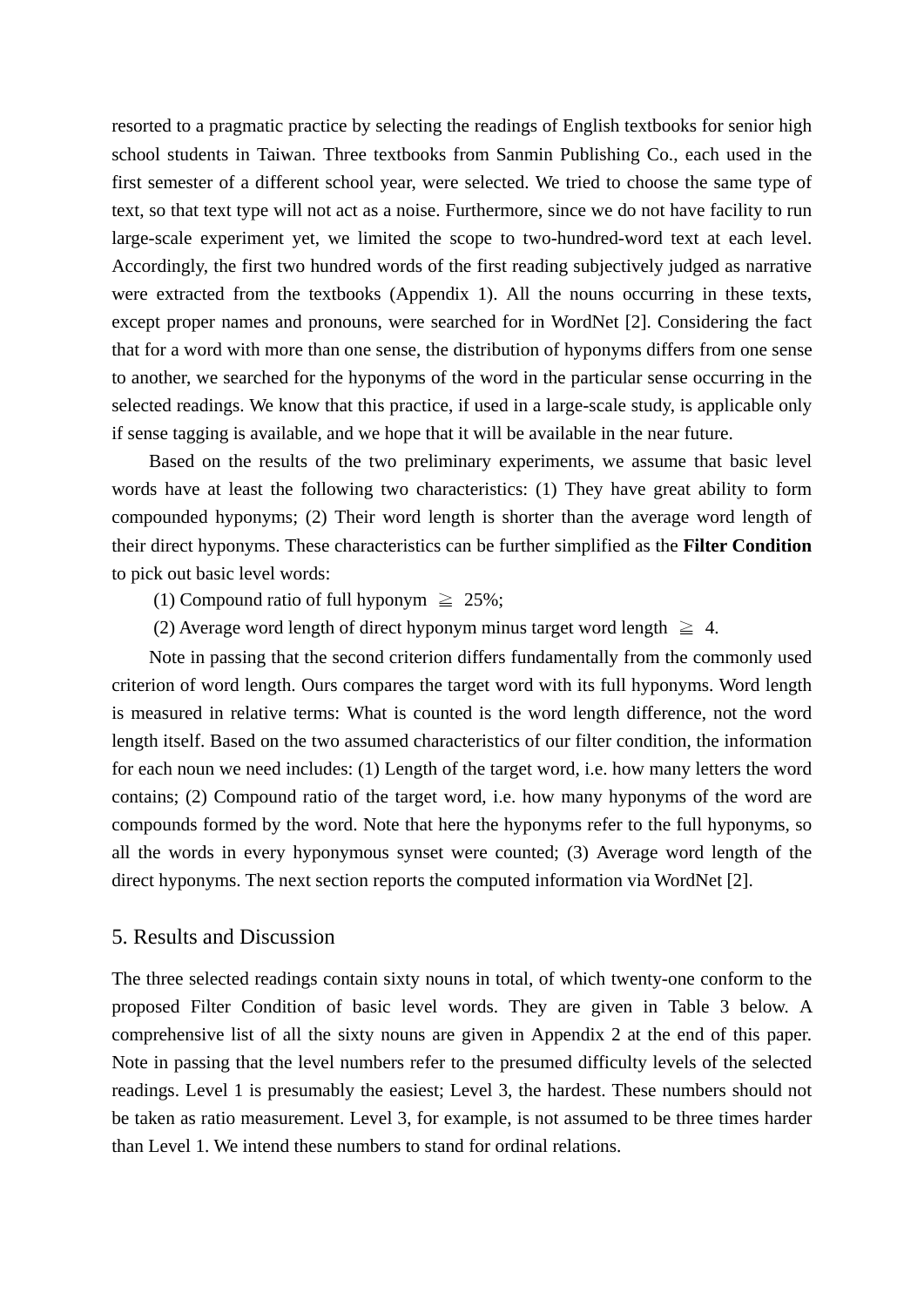resorted to a pragmatic practice by selecting the readings of English textbooks for senior high school students in Taiwan. Three textbooks from Sanmin Publishing Co., each used in the first semester of a different school year, were selected. We tried to choose the same type of text, so that text type will not act as a noise. Furthermore, since we do not have facility to run large-scale experiment yet, we limited the scope to two-hundred-word text at each level. Accordingly, the first two hundred words of the first reading subjectively judged as narrative were extracted from the textbooks (Appendix 1). All the nouns occurring in these texts, except proper names and pronouns, were searched for in WordNet [2]. Considering the fact that for a word with more than one sense, the distribution of hyponyms differs from one sense to another, we searched for the hyponyms of the word in the particular sense occurring in the selected readings. We know that this practice, if used in a large-scale study, is applicable only if sense tagging is available, and we hope that it will be available in the near future.

Based on the results of the two preliminary experiments, we assume that basic level words have at least the following two characteristics: (1) They have great ability to form compounded hyponyms; (2) Their word length is shorter than the average word length of their direct hyponyms. These characteristics can be further simplified as the **Filter Condition** to pick out basic level words:

- (1) Compound ratio of full hyponym  $\geq 25\%$ ;
- (2) Average word length of direct hyponym minus target word length  $\geq 4$ .

Note in passing that the second criterion differs fundamentally from the commonly used criterion of word length. Ours compares the target word with its full hyponyms. Word length is measured in relative terms: What is counted is the word length difference, not the word length itself. Based on the two assumed characteristics of our filter condition, the information for each noun we need includes: (1) Length of the target word, i.e. how many letters the word contains; (2) Compound ratio of the target word, i.e. how many hyponyms of the word are compounds formed by the word. Note that here the hyponyms refer to the full hyponyms, so all the words in every hyponymous synset were counted; (3) Average word length of the direct hyponyms. The next section reports the computed information via WordNet [2].

## 5. Results and Discussion

The three selected readings contain sixty nouns in total, of which twenty-one conform to the proposed Filter Condition of basic level words. They are given in Table 3 below. A comprehensive list of all the sixty nouns are given in Appendix 2 at the end of this paper. Note in passing that the level numbers refer to the presumed difficulty levels of the selected readings. Level 1 is presumably the easiest; Level 3, the hardest. These numbers should not be taken as ratio measurement. Level 3, for example, is not assumed to be three times harder than Level 1. We intend these numbers to stand for ordinal relations.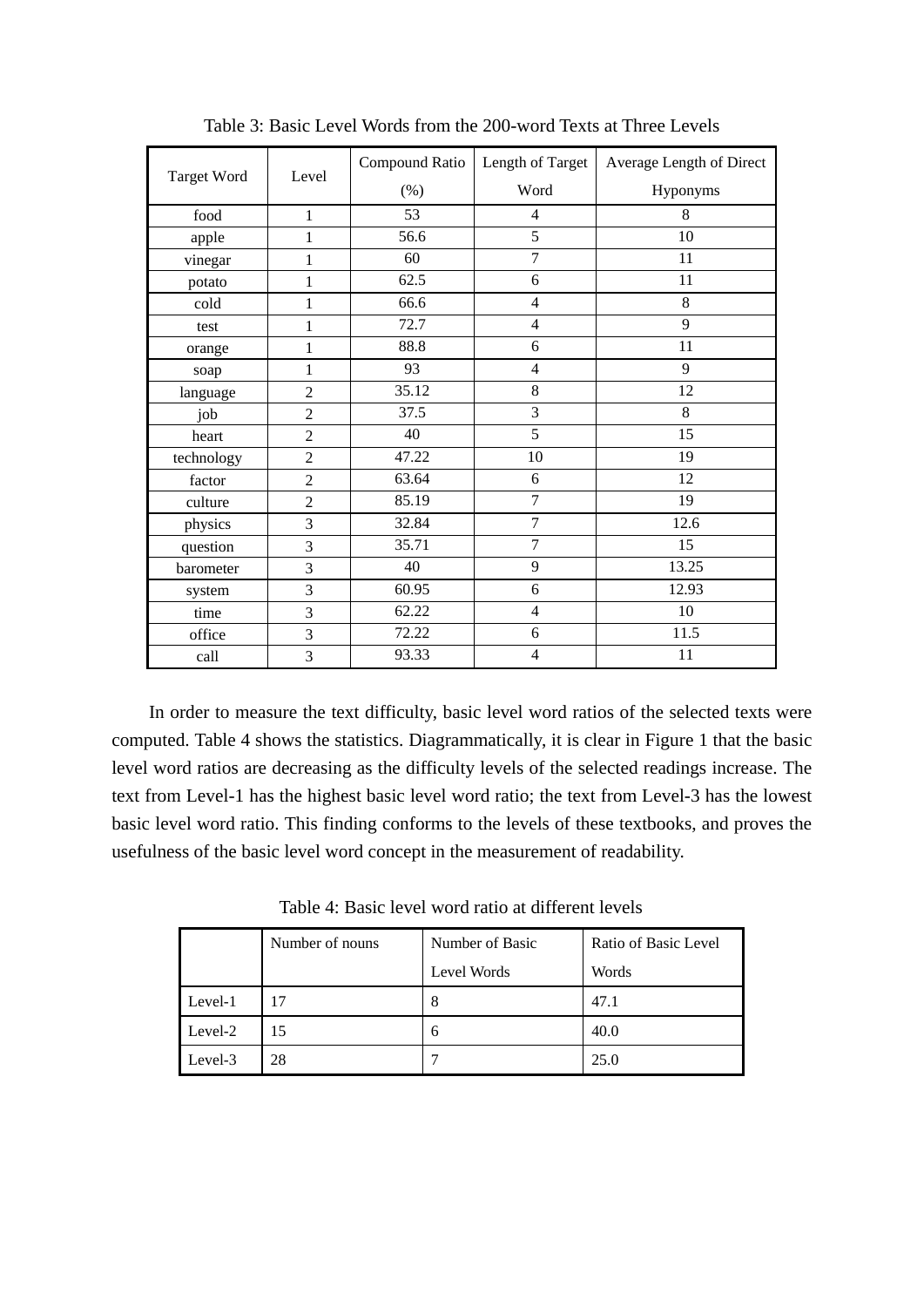|                    | Level          | Compound Ratio | Length of Target | Average Length of Direct |  |
|--------------------|----------------|----------------|------------------|--------------------------|--|
| <b>Target Word</b> |                | $(\%)$         | Word             | Hyponyms                 |  |
| food               | $\mathbf{1}$   | 53             | $\overline{4}$   | 8                        |  |
| apple              | 1              | 56.6           | 5                | 10                       |  |
| vinegar            | 1              | 60             | $\overline{7}$   | 11                       |  |
| potato             | 1              | 62.5           | $\sqrt{6}$       | $11\,$                   |  |
| cold               | 1              | 66.6           | $\overline{4}$   | $\,8\,$                  |  |
| test               | 1              | 72.7           | $\overline{4}$   | 9                        |  |
| orange             | 1              | 88.8           | 6                | 11                       |  |
| soap               | $\mathbf{1}$   | 93             | $\overline{4}$   | 9                        |  |
| language           | $\overline{2}$ | 35.12          | $8\,$            | 12                       |  |
| job                | $\overline{2}$ | 37.5           | $\overline{3}$   | 8                        |  |
| heart              | $\overline{2}$ | 40             | 5                | 15                       |  |
| technology         | $\overline{2}$ | 47.22          | 10               | 19                       |  |
| factor             | $\overline{2}$ | 63.64          | 6                | 12                       |  |
| culture            | $\overline{2}$ | 85.19          | $\overline{7}$   | 19                       |  |
| physics            | 3              | 32.84          | $\overline{7}$   | 12.6                     |  |
| question           | 3              | 35.71          | $\overline{7}$   | 15                       |  |
| barometer          | 3              | 40             | $\overline{9}$   | 13.25                    |  |
| system             | 3              | 60.95          | 6                | 12.93                    |  |
| time               | 3              | 62.22          | $\overline{4}$   | 10                       |  |
| office             | 3              | 72.22          | 6                | 11.5                     |  |
| call               | 3              | 93.33          | $\overline{4}$   | 11                       |  |

Table 3: Basic Level Words from the 200-word Texts at Three Levels

 In order to measure the text difficulty, basic level word ratios of the selected texts were computed. Table 4 shows the statistics. Diagrammatically, it is clear in Figure 1 that the basic level word ratios are decreasing as the difficulty levels of the selected readings increase. The text from Level-1 has the highest basic level word ratio; the text from Level-3 has the lowest basic level word ratio. This finding conforms to the levels of these textbooks, and proves the usefulness of the basic level word concept in the measurement of readability.

Table 4: Basic level word ratio at different levels

|         | Number of nouns | Number of Basic | Ratio of Basic Level |
|---------|-----------------|-----------------|----------------------|
|         |                 | Level Words     | Words                |
| Level-1 |                 | 8               | 47.1                 |
| Level-2 | 15              | 6               | 40.0                 |
| Level-3 | 28              |                 | 25.0                 |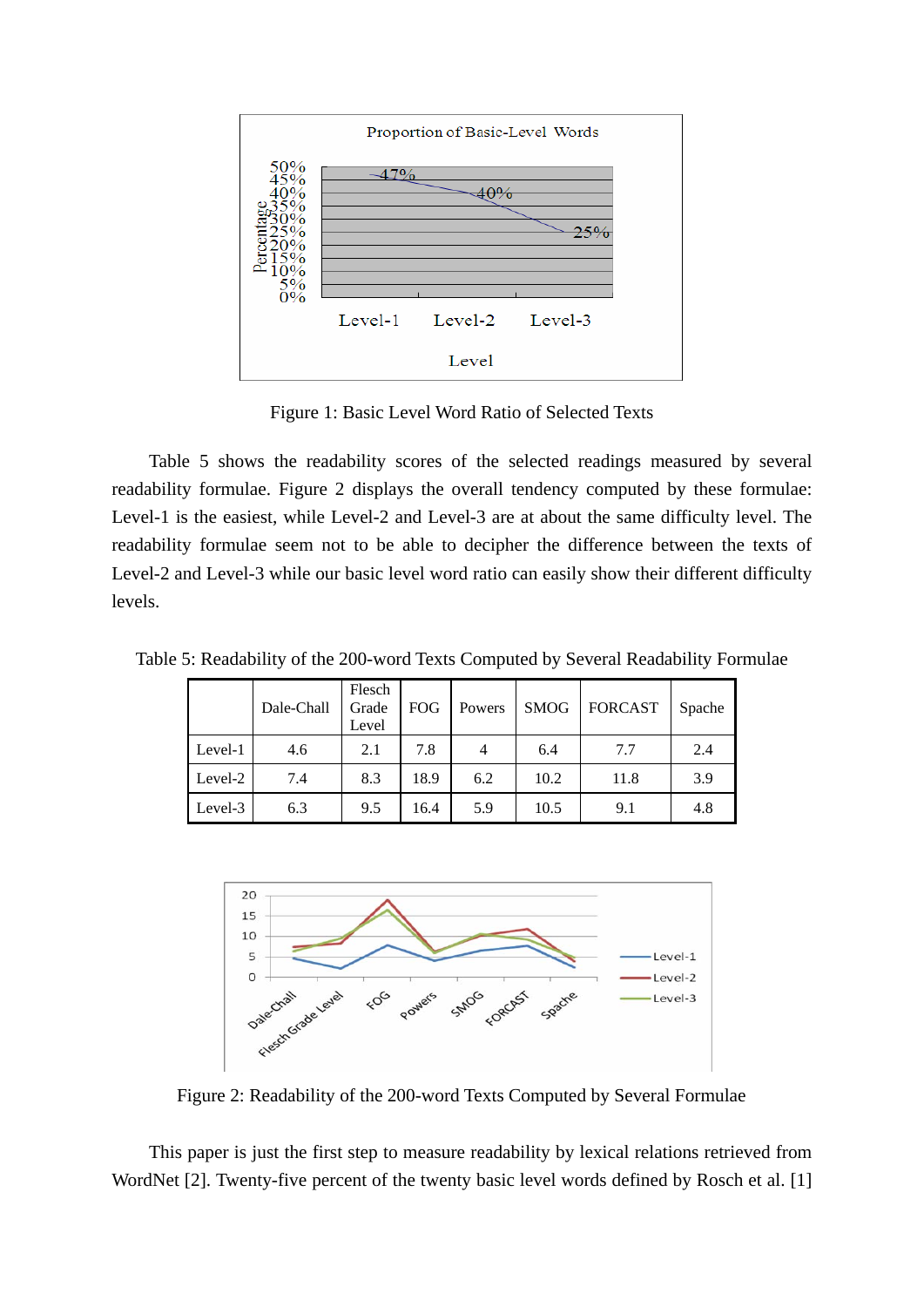

Figure 1: Basic Level Word Ratio of Selected Texts

 Table 5 shows the readability scores of the selected readings measured by several readability formulae. Figure 2 displays the overall tendency computed by these formulae: Level-1 is the easiest, while Level-2 and Level-3 are at about the same difficulty level. The readability formulae seem not to be able to decipher the difference between the texts of Level-2 and Level-3 while our basic level word ratio can easily show their different difficulty levels.

Table 5: Readability of the 200-word Texts Computed by Several Readability Formulae

|         | Dale-Chall | Flesch<br>Grade<br>Level | <b>FOG</b> | Powers | <b>SMOG</b> | <b>FORCAST</b> | Spache |
|---------|------------|--------------------------|------------|--------|-------------|----------------|--------|
| Level-1 | 4.6        | 2.1                      | 7.8        | 4      | 6.4         | 7.7            | 2.4    |
| Level-2 | 7.4        | 8.3                      | 18.9       | 6.2    | 10.2        | 11.8           | 3.9    |
| Level-3 | 6.3        | 9.5                      | 16.4       | 5.9    | 10.5        | 9.1            | 4.8    |



Figure 2: Readability of the 200-word Texts Computed by Several Formulae

 This paper is just the first step to measure readability by lexical relations retrieved from WordNet [2]. Twenty-five percent of the twenty basic level words defined by Rosch et al. [1]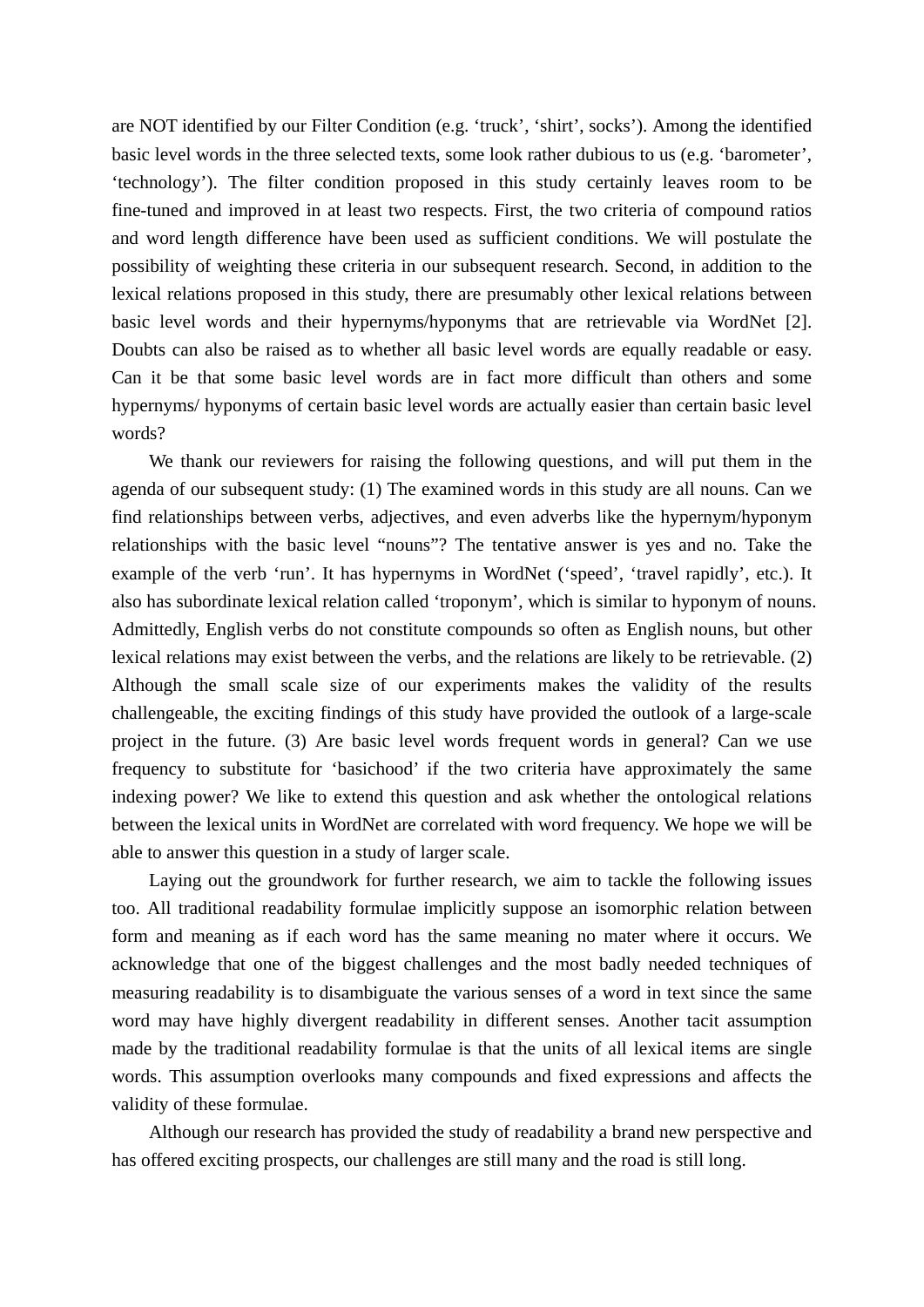are NOT identified by our Filter Condition (e.g. 'truck', 'shirt', socks'). Among the identified basic level words in the three selected texts, some look rather dubious to us (e.g. 'barometer', 'technology'). The filter condition proposed in this study certainly leaves room to be fine-tuned and improved in at least two respects. First, the two criteria of compound ratios and word length difference have been used as sufficient conditions. We will postulate the possibility of weighting these criteria in our subsequent research. Second, in addition to the lexical relations proposed in this study, there are presumably other lexical relations between basic level words and their hypernyms/hyponyms that are retrievable via WordNet [2]. Doubts can also be raised as to whether all basic level words are equally readable or easy. Can it be that some basic level words are in fact more difficult than others and some hypernyms/ hyponyms of certain basic level words are actually easier than certain basic level words?

 We thank our reviewers for raising the following questions, and will put them in the agenda of our subsequent study: (1) The examined words in this study are all nouns. Can we find relationships between verbs, adjectives, and even adverbs like the hypernym/hyponym relationships with the basic level "nouns"? The tentative answer is yes and no. Take the example of the verb 'run'. It has hypernyms in WordNet ('speed', 'travel rapidly', etc.). It also has subordinate lexical relation called 'troponym', which is similar to hyponym of nouns. Admittedly, English verbs do not constitute compounds so often as English nouns, but other lexical relations may exist between the verbs, and the relations are likely to be retrievable. (2) Although the small scale size of our experiments makes the validity of the results challengeable, the exciting findings of this study have provided the outlook of a large-scale project in the future. (3) Are basic level words frequent words in general? Can we use frequency to substitute for 'basichood' if the two criteria have approximately the same indexing power? We like to extend this question and ask whether the ontological relations between the lexical units in WordNet are correlated with word frequency. We hope we will be able to answer this question in a study of larger scale.

 Laying out the groundwork for further research, we aim to tackle the following issues too. All traditional readability formulae implicitly suppose an isomorphic relation between form and meaning as if each word has the same meaning no mater where it occurs. We acknowledge that one of the biggest challenges and the most badly needed techniques of measuring readability is to disambiguate the various senses of a word in text since the same word may have highly divergent readability in different senses. Another tacit assumption made by the traditional readability formulae is that the units of all lexical items are single words. This assumption overlooks many compounds and fixed expressions and affects the validity of these formulae.

 Although our research has provided the study of readability a brand new perspective and has offered exciting prospects, our challenges are still many and the road is still long.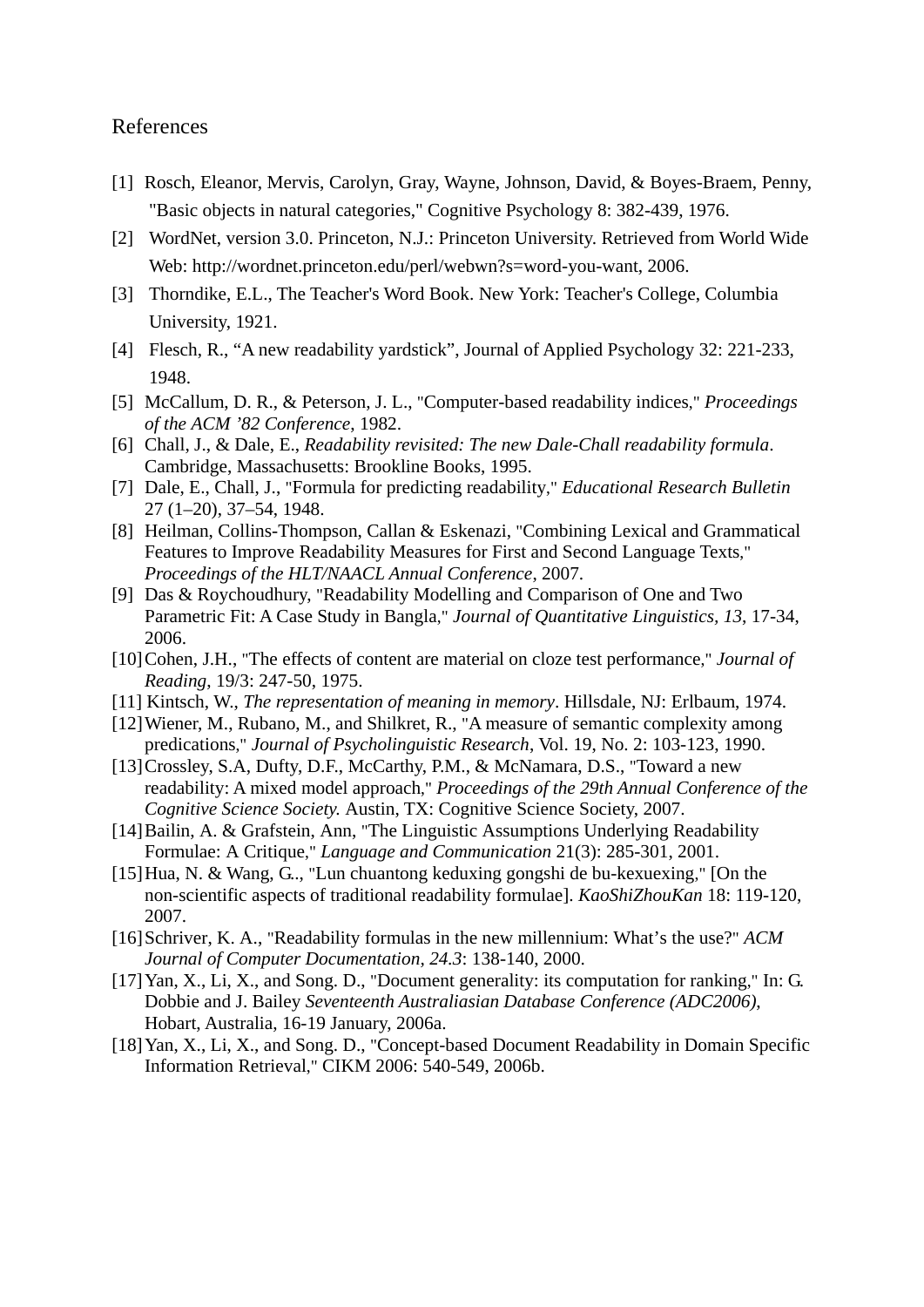## References

- [1] Rosch, Eleanor, Mervis, Carolyn, Gray, Wayne, Johnson, David, & Boyes-Braem, Penny, "Basic objects in natural categories," Cognitive Psychology 8: 382-439, 1976.
- [2] WordNet, version 3.0. Princeton, N.J.: Princeton University. Retrieved from World Wide Web: http://wordnet.princeton.edu/perl/webwn?s=word-you-want, 2006.
- [3] Thorndike, E.L., The Teacher's Word Book. New York: Teacher's College, Columbia University, 1921.
- [4] Flesch, R., "A new readability yardstick", Journal of Applied Psychology 32: 221-233, 1948.
- [5] McCallum, D. R., & Peterson, J. L., "Computer-based readability indices," *Proceedings of the ACM '82 Conference*, 1982.
- [6] Chall, J., & Dale, E., *Readability revisited: The new Dale-Chall readability formula*. Cambridge, Massachusetts: Brookline Books, 1995.
- [7] Dale, E., Chall, J., "Formula for predicting readability," *Educational Research Bulletin*  27 (1–20), 37–54, 1948.
- [8] Heilman, Collins-Thompson, Callan & Eskenazi, "Combining Lexical and Grammatical Features to Improve Readability Measures for First and Second Language Texts," *Proceedings of the HLT/NAACL Annual Conference*, 2007.
- [9] Das & Roychoudhury, "Readability Modelling and Comparison of One and Two Parametric Fit: A Case Study in Bangla," *Journal of Quantitative Linguistics, 13*, 17-34, 2006.
- [10] Cohen, J.H., "The effects of content are material on cloze test performance," *Journal of Reading*, 19/3: 247-50, 1975.
- [11] Kintsch, W., *The representation of meaning in memory*. Hillsdale, NJ: Erlbaum, 1974.
- [12] Wiener, M., Rubano, M., and Shilkret, R., "A measure of semantic complexity among predications," *Journal of Psycholinguistic Research*, Vol. 19, No. 2: 103-123, 1990.
- [13] Crossley, S.A, Dufty, D.F., McCarthy, P.M., & McNamara, D.S., "Toward a new readability: A mixed model approach," *Proceedings of the 29th Annual Conference of the Cognitive Science Society.* Austin, TX: Cognitive Science Society, 2007.
- [14] Bailin, A. & Grafstein, Ann, "The Linguistic Assumptions Underlying Readability Formulae: A Critique," *Language and Communication* 21(3): 285-301, 2001.
- [15] Hua, N. & Wang, G.., "Lun chuantong keduxing gongshi de bu-kexuexing," [On the non-scientific aspects of traditional readability formulae]. *KaoShiZhouKan* 18: 119-120, 2007.
- [16] Schriver, K. A., "Readability formulas in the new millennium: What's the use?" *ACM Journal of Computer Documentation, 24.3*: 138-140, 2000.
- [17] Yan, X., Li, X., and Song. D., "Document generality: its computation for ranking," In: G. Dobbie and J. Bailey *Seventeenth Australiasian Database Conference (ADC2006)*, Hobart, Australia, 16-19 January, 2006a.
- [18] Yan, X., Li, X., and Song. D., "Concept-based Document Readability in Domain Specific Information Retrieval," CIKM 2006: 540-549, 2006b.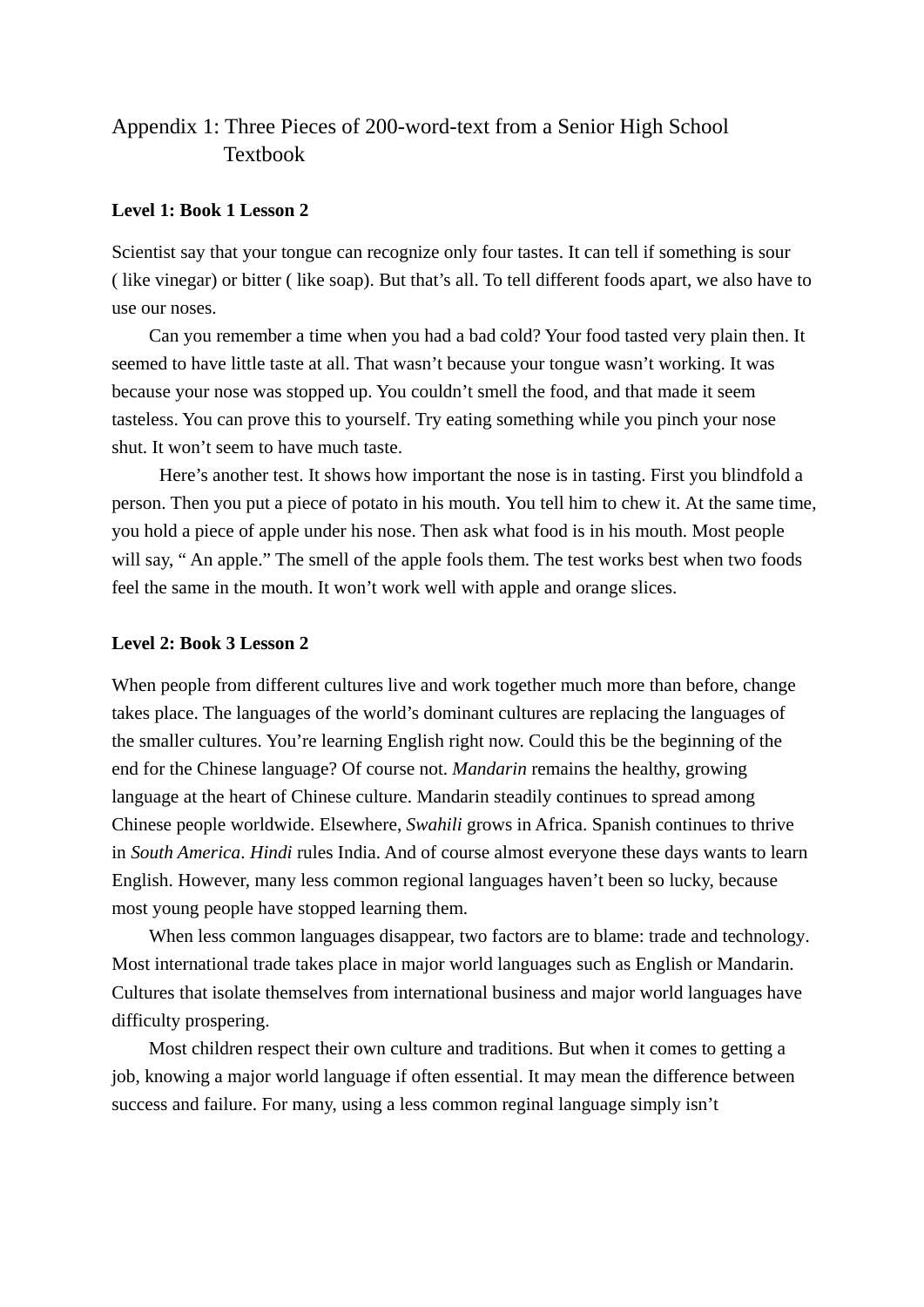## Appendix 1: Three Pieces of 200-word-text from a Senior High School Textbook

## **Level 1: Book 1 Lesson 2**

Scientist say that your tongue can recognize only four tastes. It can tell if something is sour ( like vinegar) or bitter ( like soap). But that's all. To tell different foods apart, we also have to use our noses.

 Can you remember a time when you had a bad cold? Your food tasted very plain then. It seemed to have little taste at all. That wasn't because your tongue wasn't working. It was because your nose was stopped up. You couldn't smell the food, and that made it seem tasteless. You can prove this to yourself. Try eating something while you pinch your nose shut. It won't seem to have much taste.

Here's another test. It shows how important the nose is in tasting. First you blindfold a person. Then you put a piece of potato in his mouth. You tell him to chew it. At the same time, you hold a piece of apple under his nose. Then ask what food is in his mouth. Most people will say, " An apple." The smell of the apple fools them. The test works best when two foods feel the same in the mouth. It won't work well with apple and orange slices.

## **Level 2: Book 3 Lesson 2**

When people from different cultures live and work together much more than before, change takes place. The languages of the world's dominant cultures are replacing the languages of the smaller cultures. You're learning English right now. Could this be the beginning of the end for the Chinese language? Of course not. *Mandarin* remains the healthy, growing language at the heart of Chinese culture. Mandarin steadily continues to spread among Chinese people worldwide. Elsewhere, *Swahili* grows in Africa. Spanish continues to thrive in *South America*. *Hindi* rules India. And of course almost everyone these days wants to learn English. However, many less common regional languages haven't been so lucky, because most young people have stopped learning them.

 When less common languages disappear, two factors are to blame: trade and technology. Most international trade takes place in major world languages such as English or Mandarin. Cultures that isolate themselves from international business and major world languages have difficulty prospering.

Most children respect their own culture and traditions. But when it comes to getting a job, knowing a major world language if often essential. It may mean the difference between success and failure. For many, using a less common reginal language simply isn't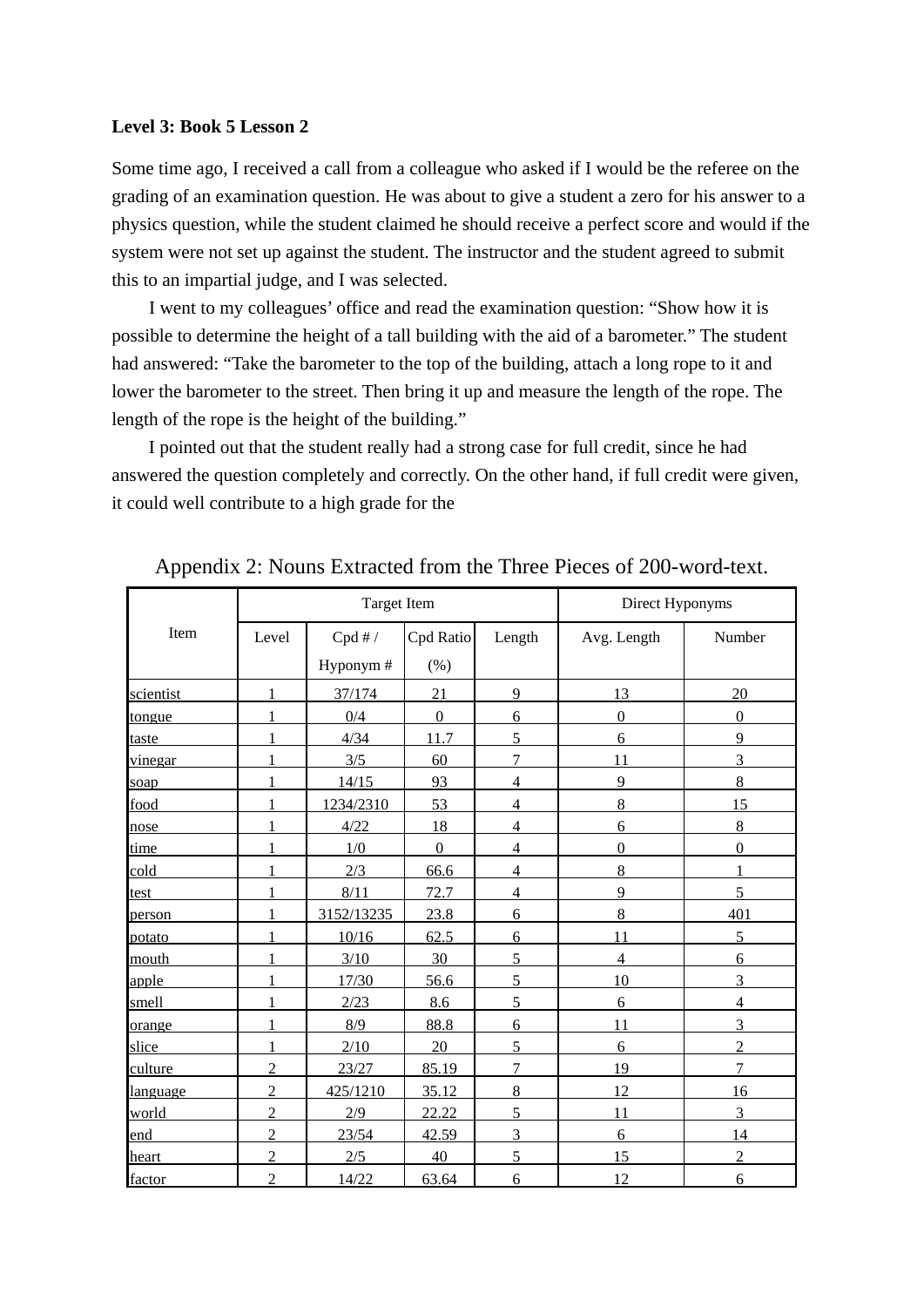#### **Level 3: Book 5 Lesson 2**

Some time ago, I received a call from a colleague who asked if I would be the referee on the grading of an examination question. He was about to give a student a zero for his answer to a physics question, while the student claimed he should receive a perfect score and would if the system were not set up against the student. The instructor and the student agreed to submit this to an impartial judge, and I was selected.

 I went to my colleagues' office and read the examination question: "Show how it is possible to determine the height of a tall building with the aid of a barometer." The student had answered: "Take the barometer to the top of the building, attach a long rope to it and lower the barometer to the street. Then bring it up and measure the length of the rope. The length of the rope is the height of the building."

I pointed out that the student really had a strong case for full credit, since he had answered the question completely and correctly. On the other hand, if full credit were given, it could well contribute to a high grade for the

|           |                | <b>Target Item</b> |              |                | Direct Hyponyms  |                |  |
|-----------|----------------|--------------------|--------------|----------------|------------------|----------------|--|
| Item      | Level          | Cpd#/              | Cpd Ratio    | Length         | Avg. Length      | Number         |  |
|           |                | Hyponym#           | (% )         |                |                  |                |  |
| scientist |                | 37/174             | 21           | 9              | 13               | 20             |  |
| tongue    | 1              | 0/4                | $\mathbf{0}$ | 6              | $\boldsymbol{0}$ | $\mathbf{0}$   |  |
| taste     |                | 4/34               | 11.7         | 5              | 6                | 9              |  |
| vinegar   |                | 3/5                | 60           | 7              | 11               | 3              |  |
| soap      |                | 14/15              | 93           | $\overline{4}$ | 9                | 8              |  |
| food      |                | 1234/2310          | 53           | 4              | 8                | 15             |  |
| nose      | 1              | 4/22               | 18           | 4              | 6                | 8              |  |
| time      | 1              | 1/0                | $\Omega$     | $\overline{4}$ | $\boldsymbol{0}$ | $\mathbf{0}$   |  |
| cold      |                | 2/3                | 66.6         | 4              | $8\,$            | 1              |  |
| test      |                | 8/11               | 72.7         | 4              | 9                | 5              |  |
| person    |                | 3152/13235         | 23.8         | 6              | 8                | 401            |  |
| potato    | 1              | 10/16              | 62.5         | 6              | 11               | 5              |  |
| mouth     |                | 3/10               | 30           | 5              | $\overline{4}$   | 6              |  |
| apple     | 1              | 17/30              | 56.6         | 5              | 10               | 3              |  |
| smell     |                | 2/23               | 8.6          | 5              | 6                | $\overline{4}$ |  |
| orange    |                | 8/9                | 88.8         | 6              | 11               | 3              |  |
| slice     | 1              | 2/10               | 20           | 5              | 6                | $\overline{2}$ |  |
| culture   | $\overline{2}$ | 23/27              | 85.19        | 7              | 19               | 7              |  |
| language  | $\overline{2}$ | 425/1210           | 35.12        | 8              | 12               | 16             |  |
| world     | $\overline{2}$ | 2/9                | 22.22        | 5              | 11               | 3              |  |
| end       | $\overline{2}$ | 23/54              | 42.59        | 3              | 6                | 14             |  |
| heart     | $\overline{2}$ | 2/5                | 40           | 5              | 15               | $\overline{2}$ |  |
| factor    | $\overline{2}$ | 14/22              | 63.64        | 6              | 12               | 6              |  |

Appendix 2: Nouns Extracted from the Three Pieces of 200-word-text.